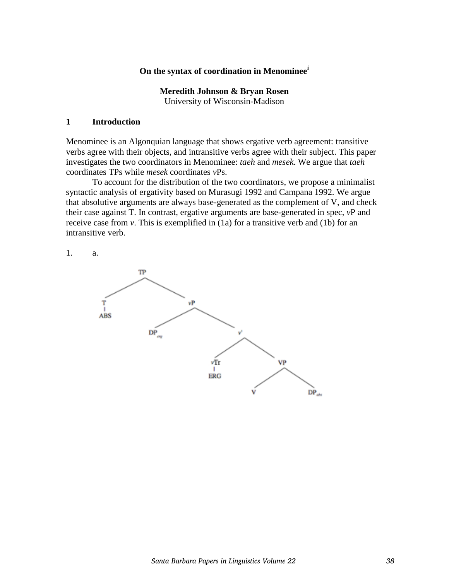### **On the syntax of coordination in Menominee<sup>i</sup>**

**Meredith Johnson & Bryan Rosen**  University of Wisconsin-Madison

#### **1 Introduction**

Menominee is an Algonquian language that shows ergative verb agreement: transitive verbs agree with their objects, and intransitive verbs agree with their subject. This paper investigates the two coordinators in Menominee: *taeh* and *mesek*. We argue that *taeh* coordinates TPs while *mesek* coordinates *v*Ps.

 To account for the distribution of the two coordinators, we propose a minimalist syntactic analysis of ergativity based on Murasugi 1992 and Campana 1992. We argue that absolutive arguments are always base-generated as the complement of V, and check their case against T. In contrast, ergative arguments are base-generated in spec, *v*P and receive case from *v*. This is exemplified in (1a) for a transitive verb and (1b) for an intransitive verb.

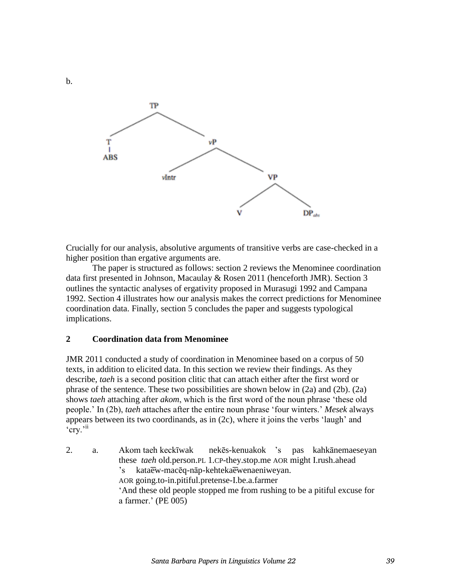

Crucially for our analysis, absolutive arguments of transitive verbs are case-checked in a higher position than ergative arguments are.

 The paper is structured as follows: section 2 reviews the Menominee coordination data first presented in Johnson, Macaulay & Rosen 2011 (henceforth JMR). Section 3 outlines the syntactic analyses of ergativity proposed in Murasugi 1992 and Campana 1992. Section 4 illustrates how our analysis makes the correct predictions for Menominee coordination data. Finally, section 5 concludes the paper and suggests typological implications.

#### **2 Coordination data from Menominee**

JMR 2011 conducted a study of coordination in Menominee based on a corpus of 50 texts, in addition to elicited data. In this section we review their findings. As they describe, *taeh* is a second position clitic that can attach either after the first word or phrase of the sentence. These two possibilities are shown below in (2a) and (2b). (2a) shows *taeh* attaching after *akom*, which is the first word of the noun phrase 'these old people.' In (2b), *taeh* attaches after the entire noun phrase 'four winters.' *Mesek* always appears between its two coordinands, as in (2c), where it joins the verbs 'laugh' and 'cry.'ii

2. a. Akom taeh keckīwak nekēs-kenuakok 's pas kahkānemaeseyan these *taeh* old.person.PL 1.CP-they.stop.me AOR might I.rush.ahead 's kataew-macēq-nāp-kehteka ewenaeniweyan. AOR going.to-in.pitiful.pretense-I.be.a.farmer 'And these old people stopped me from rushing to be a pitiful excuse for a farmer.' (PE 005)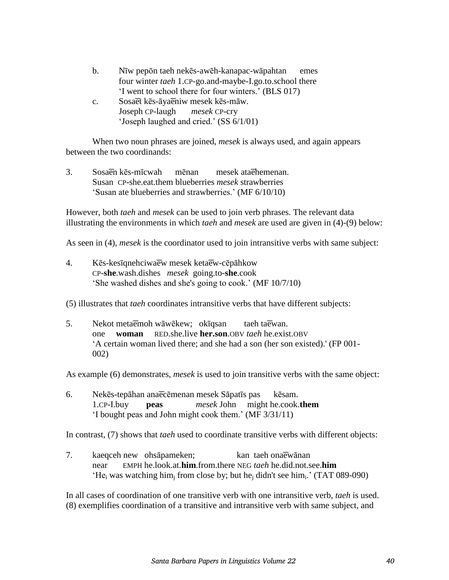| b.          | Nīw pepōn taeh nekēs-awēh-kanapac-wāpahtan              | emes |
|-------------|---------------------------------------------------------|------|
|             | four winter taeh 1.CP-go.and-maybe-I.go.to.school there |      |
|             | 'I went to school there for four winters.' (BLS 017)    |      |
| $c_{\cdot}$ | Sosaet kes-ayaeniw mesek kes-maw.                       |      |
|             | Joseph CP-laugh mesek CP-cry                            |      |

'Joseph laughed and cried.' (SS 6/1/01)

 When two noun phrases are joined, *mesek* is always used, and again appears between the two coordinands:

3. Sosa en kēs-mīcwah mēnan mesek ata ehemenan. Susan CP-she.eat.them blueberries *mesek* strawberries 'Susan ate blueberries and strawberries.' (MF 6/10/10)

However, both *taeh* and *mesek* can be used to join verb phrases. The relevant data illustrating the environments in which *taeh* and *mesek* are used are given in (4)-(9) below:

As seen in (4), *mesek* is the coordinator used to join intransitive verbs with same subject:

4. Kēs-kesīgnehciwa ew mesek keta ew-cēpāhkow CP-**she**.wash.dishes *mesek* going.to-**she**.cook 'She washed dishes and she's going to cook.' (MF 10/7/10)

(5) illustrates that *taeh* coordinates intransitive verbs that have different subjects:

5. Nekot meta emoh wāwēkew; okīqsan taeh ta ewan. one **woman** RED.she.live **her.son**.OBV *taeh* he.exist.OBV 'A certain woman lived there; and she had a son (her son existed).' (FP 001- 002)

As example (6) demonstrates, *mesek* is used to join transitive verbs with the same object:

6. Nekēs-tepāhan ana ecēmenan mesek Sāpatīs pas kēsam. 1.CP-I.buy **peas** *mesek* John might he.cook.**them** 'I bought peas and John might cook them.' (MF 3/31/11)

In contrast, (7) shows that *taeh* used to coordinate transitive verbs with different objects:

7. kaeqceh new ohsāpameken; kan taeh onaew anan near EMPH he.look.at.**him**.from.there NEG *taeh* he.did.not.see.**him** 'He<sub>i</sub> was watching him<sub>j</sub> from close by; but he<sub>j</sub> didn't see him<sub>i</sub>.' (TAT 089-090)

In all cases of coordination of one transitive verb with one intransitive verb, *taeh* is used. (8) exemplifies coordination of a transitive and intransitive verb with same subject, and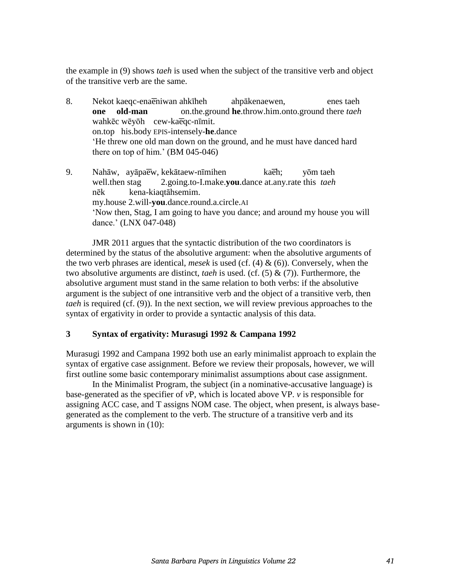the example in (9) shows *taeh* is used when the subject of the transitive verb and object of the transitive verb are the same.

- 8. Nekot kaeqc-ena eniwan ahkīheh ahpākenaewen, enes taeh  **one old-man** on.the.ground **he**.throw.him.onto.ground there *taeh* wahkēc wēyōh cew-ka eqc-nīmit. on.top his.body EPIS-intensely-**he**.dance 'He threw one old man down on the ground, and he must have danced hard there on top of him.' (BM 045-046)
- 9. Nahāw, ayāpa ew, kekātaew-nīmihen kaeh; yōm taeh well.then stag 2.going.to-I.make.**you**.dance at.any.rate this *taeh* nēk kena-kiaqtāhsemim. my.house 2.will-**you**.dance.round.a.circle.AI 'Now then, Stag, I am going to have you dance; and around my house you will dance.' (LNX 047-048)

 JMR 2011 argues that the syntactic distribution of the two coordinators is determined by the status of the absolutive argument: when the absolutive arguments of the two verb phrases are identical, *mesek* is used (cf. (4) & (6)). Conversely, when the two absolutive arguments are distinct, *taeh* is used. (cf. (5) & (7)). Furthermore, the absolutive argument must stand in the same relation to both verbs: if the absolutive argument is the subject of one intransitive verb and the object of a transitive verb, then *taeh* is required (cf. (9)). In the next section, we will review previous approaches to the syntax of ergativity in order to provide a syntactic analysis of this data.

# **3 Syntax of ergativity: Murasugi 1992 & Campana 1992**

Murasugi 1992 and Campana 1992 both use an early minimalist approach to explain the syntax of ergative case assignment. Before we review their proposals, however, we will first outline some basic contemporary minimalist assumptions about case assignment.

 In the Minimalist Program, the subject (in a nominative-accusative language) is base-generated as the specifier of *v*P, which is located above VP. *v* is responsible for assigning ACC case, and T assigns NOM case. The object, when present, is always basegenerated as the complement to the verb. The structure of a transitive verb and its arguments is shown in (10):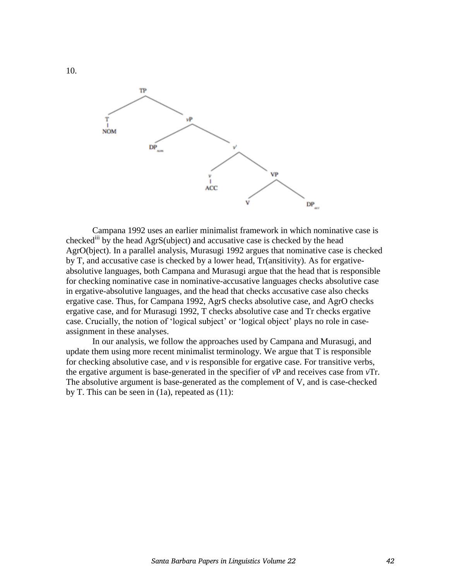

 Campana 1992 uses an earlier minimalist framework in which nominative case is checked<sup>iii</sup> by the head AgrS(ubject) and accusative case is checked by the head AgrO(bject). In a parallel analysis, Murasugi 1992 argues that nominative case is checked by T, and accusative case is checked by a lower head, Tr(ansitivity). As for ergativeabsolutive languages, both Campana and Murasugi argue that the head that is responsible for checking nominative case in nominative-accusative languages checks absolutive case in ergative-absolutive languages, and the head that checks accusative case also checks ergative case. Thus, for Campana 1992, AgrS checks absolutive case, and AgrO checks ergative case, and for Murasugi 1992, T checks absolutive case and Tr checks ergative case. Crucially, the notion of 'logical subject' or 'logical object' plays no role in caseassignment in these analyses.

 In our analysis, we follow the approaches used by Campana and Murasugi, and update them using more recent minimalist terminology. We argue that T is responsible for checking absolutive case, and *v* is responsible for ergative case. For transitive verbs, the ergative argument is base-generated in the specifier of *v*P and receives case from *v*Tr. The absolutive argument is base-generated as the complement of V, and is case-checked by T. This can be seen in (1a), repeated as (11):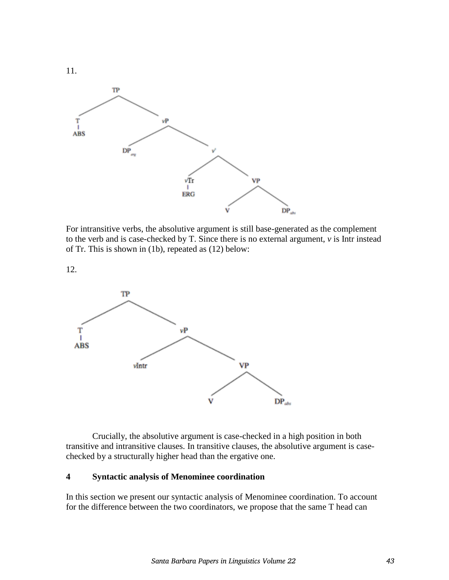

For intransitive verbs, the absolutive argument is still base-generated as the complement to the verb and is case-checked by T. Since there is no external argument, *v* is Intr instead of Tr. This is shown in (1b), repeated as (12) below:

12.



 Crucially, the absolutive argument is case-checked in a high position in both transitive and intransitive clauses. In transitive clauses, the absolutive argument is casechecked by a structurally higher head than the ergative one.

# **4 Syntactic analysis of Menominee coordination**

In this section we present our syntactic analysis of Menominee coordination. To account for the difference between the two coordinators, we propose that the same T head can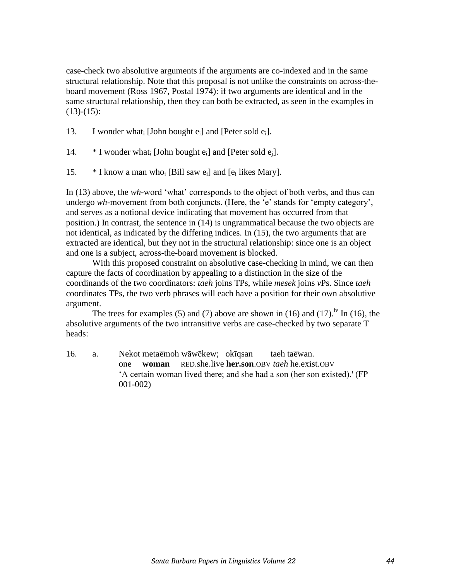case-check two absolutive arguments if the arguments are co-indexed and in the same structural relationship. Note that this proposal is not unlike the constraints on across-theboard movement (Ross 1967, Postal 1974): if two arguments are identical and in the same structural relationship, then they can both be extracted, as seen in the examples in  $(13)-(15)$ :

13. I wonder what<sub>i</sub> [John bought e<sub>i</sub>] and [Peter sold e<sub>i</sub>].

- 14.  $*$  I wonder what [John bought  $e_i$ ] and [Peter sold  $e_i$ ].
- 15.  $*$  I know a man who<sub>i</sub> [Bill saw  $e_i$ ] and [ $e_i$  likes Mary].

In (13) above, the *wh-*word 'what' corresponds to the object of both verbs, and thus can undergo *wh-*movement from both conjuncts. (Here, the 'e' stands for 'empty category', and serves as a notional device indicating that movement has occurred from that position.) In contrast, the sentence in (14) is ungrammatical because the two objects are not identical, as indicated by the differing indices. In (15), the two arguments that are extracted are identical, but they not in the structural relationship: since one is an object and one is a subject, across-the-board movement is blocked.

 With this proposed constraint on absolutive case-checking in mind, we can then capture the facts of coordination by appealing to a distinction in the size of the coordinands of the two coordinators: *taeh* joins TPs, while *mesek* joins *v*Ps. Since *taeh* coordinates TPs, the two verb phrases will each have a position for their own absolutive argument.

The trees for examples (5) and (7) above are shown in (16) and (17).<sup>iv</sup> In (16), the absolutive arguments of the two intransitive verbs are case-checked by two separate T heads:

16. a. Nekot meta emoh wāwēkew; okīqsan taeh ta ewan. one **woman** RED.she.live **her.son**.OBV *taeh* he.exist.OBV 'A certain woman lived there; and she had a son (her son existed).' (FP 001-002)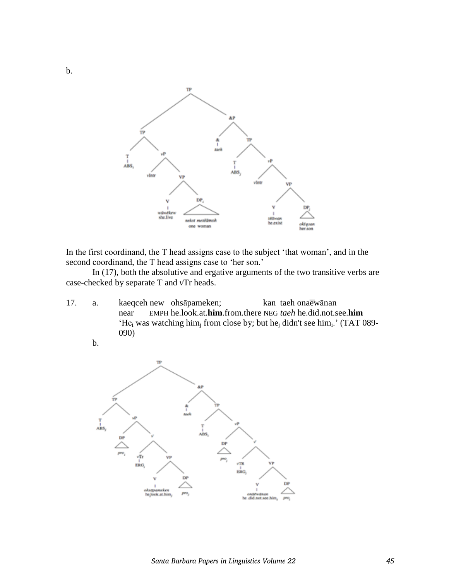

In the first coordinand, the T head assigns case to the subject 'that woman', and in the second coordinand, the T head assigns case to 'her son.'

 In (17), both the absolutive and ergative arguments of the two transitive verbs are case-checked by separate T and *v*Tr heads.

17. a. kaeqceh new ohsāpameken; kan taeh onaew ānan near EMPH he.look.at.**him**.from.there NEG *taeh* he.did.not.see.**him** 'He<sub>i</sub> was watching him<sub>i</sub> from close by; but he<sub>j</sub> didn't see him<sub>i</sub>.' (TAT 089-090)

b.

b.

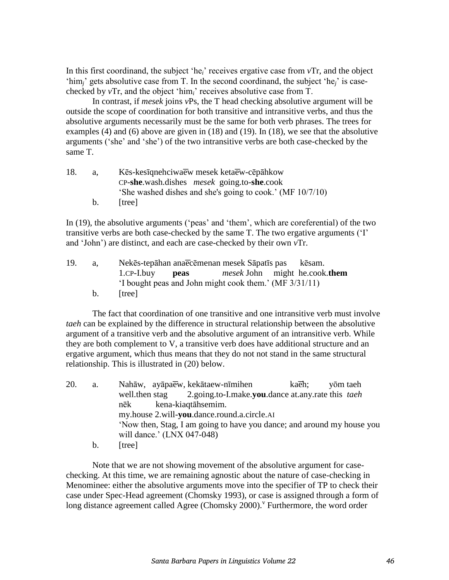In this first coordinand, the subject 'he*i*' receives ergative case from *v*Tr, and the object 'him*j*' gets absolutive case from T. In the second coordinand, the subject 'he*j*' is casechecked by *v*Tr, and the object 'him*i*' receives absolutive case from T.

 In contrast, if *mesek* joins *v*Ps, the T head checking absolutive argument will be outside the scope of coordination for both transitive and intransitive verbs, and thus the absolutive arguments necessarily must be the same for both verb phrases. The trees for examples (4) and (6) above are given in (18) and (19). In (18), we see that the absolutive arguments ('she' and 'she') of the two intransitive verbs are both case-checked by the same T.

| 18. | а.      | Kēs-kesīgnehciwaew mesek ketaew-cēpāhkow                  |
|-----|---------|-----------------------------------------------------------|
|     |         | $CP$ -she wash dishes <i>mesek</i> going to-she cook      |
|     |         | 'She washed dishes and she's going to cook.' (MF 10/7/10) |
|     | $b_{1}$ | ltree l                                                   |

In (19), the absolutive arguments ('peas' and 'them', which are coreferential) of the two transitive verbs are both case-checked by the same T. The two ergative arguments ('I' and 'John') are distinct, and each are case-checked by their own *v*Tr.

| 19. | a.      |                                                        |  | Nekēs-tepāhan anaecēmenan mesek Sāpatīs pas kēsam. |  |  |
|-----|---------|--------------------------------------------------------|--|----------------------------------------------------|--|--|
|     |         | 1.CP-I.buy <b>peas</b>                                 |  | <i>mesek</i> John might he.cook.them               |  |  |
|     |         | 'I bought peas and John might cook them.' (MF 3/31/11) |  |                                                    |  |  |
|     | $b_{1}$ | Itreel                                                 |  |                                                    |  |  |

 The fact that coordination of one transitive and one intransitive verb must involve *taeh* can be explained by the difference in structural relationship between the absolutive argument of a transitive verb and the absolutive argument of an intransitive verb. While they are both complement to V, a transitive verb does have additional structure and an ergative argument, which thus means that they do not not stand in the same structural relationship. This is illustrated in (20) below.

| 20. | a. | Nahāw, ayāpaew, kekātaew-nīmihen<br>kaeh:<br>yōm taeh                  |
|-----|----|------------------------------------------------------------------------|
|     |    | well, then stag 2.going.to-I.make.you.dance at any rate this tach      |
|     |    | kena-kiagtāhsemim.<br>nēk                                              |
|     |    | my.house 2.will-you.dance.round.a.circle.AI                            |
|     |    | 'Now then, Stag, I am going to have you dance; and around my house you |
|     |    | will dance.' (LNX 047-048)                                             |
|     | b. | tree                                                                   |

 Note that we are not showing movement of the absolutive argument for casechecking. At this time, we are remaining agnostic about the nature of case-checking in Menominee: either the absolutive arguments move into the specifier of TP to check their case under Spec-Head agreement (Chomsky 1993), or case is assigned through a form of long distance agreement called Agree (Chomsky 2000).<sup>V</sup> Furthermore, the word order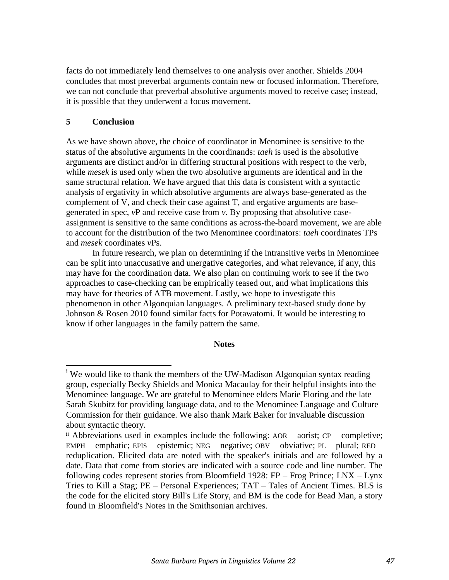facts do not immediately lend themselves to one analysis over another. Shields 2004 concludes that most preverbal arguments contain new or focused information. Therefore, we can not conclude that preverbal absolutive arguments moved to receive case; instead, it is possible that they underwent a focus movement.

# **5 Conclusion**

l

As we have shown above, the choice of coordinator in Menominee is sensitive to the status of the absolutive arguments in the coordinands: *taeh* is used is the absolutive arguments are distinct and/or in differing structural positions with respect to the verb, while *mesek* is used only when the two absolutive arguments are identical and in the same structural relation. We have argued that this data is consistent with a syntactic analysis of ergativity in which absolutive arguments are always base-generated as the complement of V, and check their case against T, and ergative arguments are basegenerated in spec, *v*P and receive case from *v*. By proposing that absolutive caseassignment is sensitive to the same conditions as across-the-board movement, we are able to account for the distribution of the two Menominee coordinators: *taeh* coordinates TPs and *mesek* coordinates *v*Ps.

 In future research, we plan on determining if the intransitive verbs in Menominee can be split into unaccusative and unergative categories, and what relevance, if any, this may have for the coordination data. We also plan on continuing work to see if the two approaches to case-checking can be empirically teased out, and what implications this may have for theories of ATB movement. Lastly, we hope to investigate this phenomenon in other Algonquian languages. A preliminary text-based study done by Johnson & Rosen 2010 found similar facts for Potawatomi. It would be interesting to know if other languages in the family pattern the same.

#### **Notes**

<sup>&</sup>lt;sup>i</sup> We would like to thank the members of the UW-Madison Algonquian syntax reading group, especially Becky Shields and Monica Macaulay for their helpful insights into the Menominee language. We are grateful to Menominee elders Marie Floring and the late Sarah Skubitz for providing language data, and to the Menominee Language and Culture Commission for their guidance. We also thank Mark Baker for invaluable discussion about syntactic theory.

 $\mu$ <sup>ii</sup> Abbreviations used in examples include the following:  $AOR - aorist$ ;  $CP - completeite$ ; EMPH – emphatic; EPIS – epistemic; NEG – negative; OBV – obviative; PL – plural; RED – reduplication. Elicited data are noted with the speaker's initials and are followed by a date. Data that come from stories are indicated with a source code and line number. The following codes represent stories from Bloomfield 1928: FP – Frog Prince; LNX – Lynx Tries to Kill a Stag; PE – Personal Experiences; TAT – Tales of Ancient Times. BLS is the code for the elicited story Bill's Life Story, and BM is the code for Bead Man, a story found in Bloomfield's Notes in the Smithsonian archives.